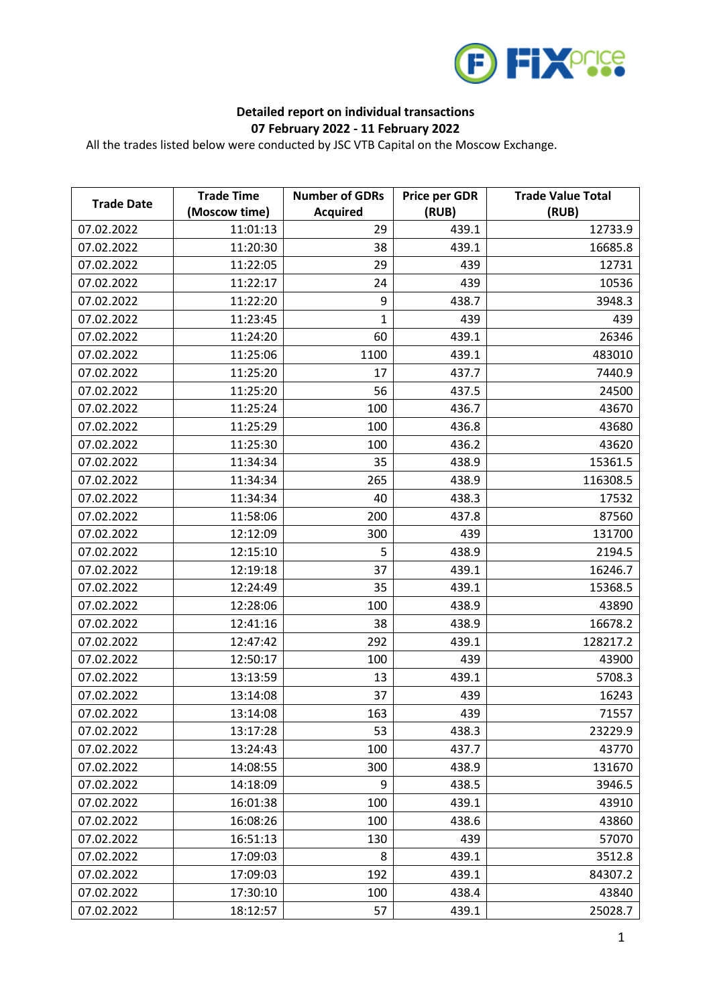

## **Detailed report on individual transactions 07 February 2022 - 11 February 2022**

All the trades listed below were conducted by JSC VTB Capital on the Moscow Exchange.

| <b>Trade Date</b> | <b>Trade Time</b> | <b>Number of GDRs</b> | <b>Price per GDR</b> | <b>Trade Value Total</b> |
|-------------------|-------------------|-----------------------|----------------------|--------------------------|
|                   | (Moscow time)     | <b>Acquired</b>       | (RUB)                | (RUB)                    |
| 07.02.2022        | 11:01:13          | 29                    | 439.1                | 12733.9                  |
| 07.02.2022        | 11:20:30          | 38                    | 439.1                | 16685.8                  |
| 07.02.2022        | 11:22:05          | 29                    | 439                  | 12731                    |
| 07.02.2022        | 11:22:17          | 24                    | 439                  | 10536                    |
| 07.02.2022        | 11:22:20          | 9                     | 438.7                | 3948.3                   |
| 07.02.2022        | 11:23:45          | $\mathbf{1}$          | 439                  | 439                      |
| 07.02.2022        | 11:24:20          | 60                    | 439.1                | 26346                    |
| 07.02.2022        | 11:25:06          | 1100                  | 439.1                | 483010                   |
| 07.02.2022        | 11:25:20          | 17                    | 437.7                | 7440.9                   |
| 07.02.2022        | 11:25:20          | 56                    | 437.5                | 24500                    |
| 07.02.2022        | 11:25:24          | 100                   | 436.7                | 43670                    |
| 07.02.2022        | 11:25:29          | 100                   | 436.8                | 43680                    |
| 07.02.2022        | 11:25:30          | 100                   | 436.2                | 43620                    |
| 07.02.2022        | 11:34:34          | 35                    | 438.9                | 15361.5                  |
| 07.02.2022        | 11:34:34          | 265                   | 438.9                | 116308.5                 |
| 07.02.2022        | 11:34:34          | 40                    | 438.3                | 17532                    |
| 07.02.2022        | 11:58:06          | 200                   | 437.8                | 87560                    |
| 07.02.2022        | 12:12:09          | 300                   | 439                  | 131700                   |
| 07.02.2022        | 12:15:10          | 5                     | 438.9                | 2194.5                   |
| 07.02.2022        | 12:19:18          | 37                    | 439.1                | 16246.7                  |
| 07.02.2022        | 12:24:49          | 35                    | 439.1                | 15368.5                  |
| 07.02.2022        | 12:28:06          | 100                   | 438.9                | 43890                    |
| 07.02.2022        | 12:41:16          | 38                    | 438.9                | 16678.2                  |
| 07.02.2022        | 12:47:42          | 292                   | 439.1                | 128217.2                 |
| 07.02.2022        | 12:50:17          | 100                   | 439                  | 43900                    |
| 07.02.2022        | 13:13:59          | 13                    | 439.1                | 5708.3                   |
| 07.02.2022        | 13:14:08          | 37                    | 439                  | 16243                    |
| 07.02.2022        | 13:14:08          | 163                   | 439                  | 71557                    |
| 07.02.2022        | 13:17:28          | 53                    | 438.3                | 23229.9                  |
| 07.02.2022        | 13:24:43          | 100                   | 437.7                | 43770                    |
| 07.02.2022        | 14:08:55          | 300                   | 438.9                | 131670                   |
| 07.02.2022        | 14:18:09          | 9                     | 438.5                | 3946.5                   |
| 07.02.2022        | 16:01:38          | 100                   | 439.1                | 43910                    |
| 07.02.2022        | 16:08:26          | 100                   | 438.6                | 43860                    |
| 07.02.2022        | 16:51:13          | 130                   | 439                  | 57070                    |
| 07.02.2022        | 17:09:03          | 8                     | 439.1                | 3512.8                   |
| 07.02.2022        | 17:09:03          | 192                   | 439.1                | 84307.2                  |
| 07.02.2022        | 17:30:10          | 100                   | 438.4                | 43840                    |
| 07.02.2022        | 18:12:57          | 57                    | 439.1                | 25028.7                  |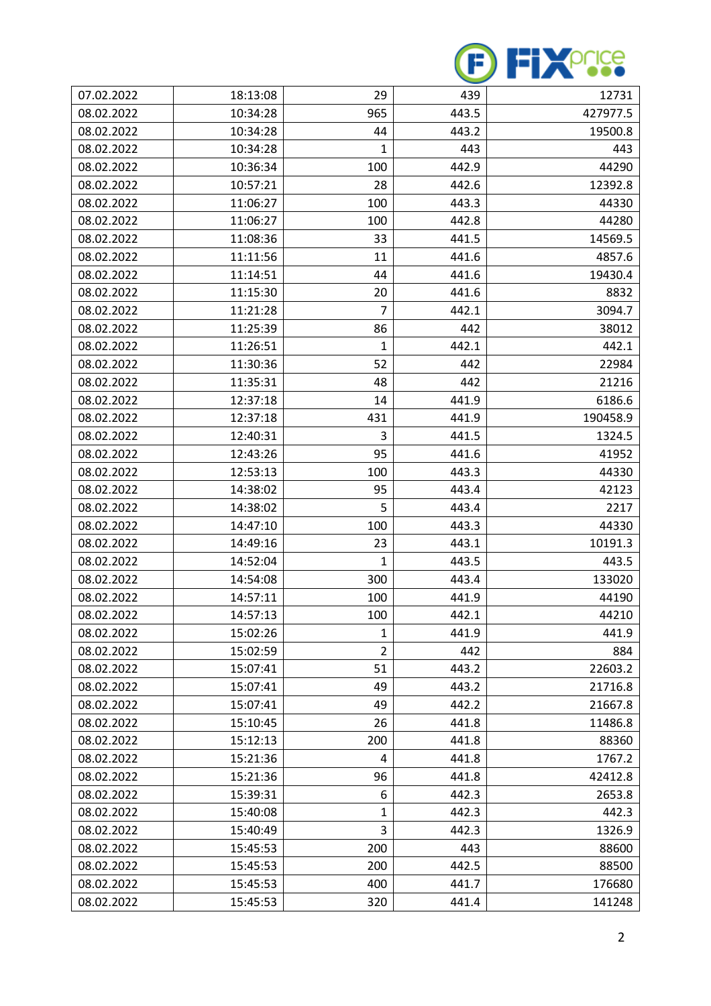

| 07.02.2022 | 18:13:08 | 29             | 439   | 12731    |
|------------|----------|----------------|-------|----------|
| 08.02.2022 | 10:34:28 | 965            | 443.5 | 427977.5 |
| 08.02.2022 | 10:34:28 | 44             | 443.2 | 19500.8  |
| 08.02.2022 | 10:34:28 | 1              | 443   | 443      |
| 08.02.2022 | 10:36:34 | 100            | 442.9 | 44290    |
| 08.02.2022 | 10:57:21 | 28             | 442.6 | 12392.8  |
| 08.02.2022 | 11:06:27 | 100            | 443.3 | 44330    |
| 08.02.2022 | 11:06:27 | 100            | 442.8 | 44280    |
| 08.02.2022 | 11:08:36 | 33             | 441.5 | 14569.5  |
| 08.02.2022 | 11:11:56 | 11             | 441.6 | 4857.6   |
| 08.02.2022 | 11:14:51 | 44             | 441.6 | 19430.4  |
| 08.02.2022 | 11:15:30 | 20             | 441.6 | 8832     |
| 08.02.2022 | 11:21:28 | $\overline{7}$ | 442.1 | 3094.7   |
| 08.02.2022 | 11:25:39 | 86             | 442   | 38012    |
| 08.02.2022 | 11:26:51 | 1              | 442.1 | 442.1    |
| 08.02.2022 | 11:30:36 | 52             | 442   | 22984    |
| 08.02.2022 | 11:35:31 | 48             | 442   | 21216    |
| 08.02.2022 | 12:37:18 | 14             | 441.9 | 6186.6   |
| 08.02.2022 | 12:37:18 | 431            | 441.9 | 190458.9 |
| 08.02.2022 | 12:40:31 | 3              | 441.5 | 1324.5   |
| 08.02.2022 | 12:43:26 | 95             | 441.6 | 41952    |
| 08.02.2022 | 12:53:13 | 100            | 443.3 | 44330    |
| 08.02.2022 | 14:38:02 | 95             | 443.4 | 42123    |
| 08.02.2022 | 14:38:02 | 5              | 443.4 | 2217     |
| 08.02.2022 | 14:47:10 | 100            | 443.3 | 44330    |
| 08.02.2022 | 14:49:16 | 23             | 443.1 | 10191.3  |
| 08.02.2022 | 14:52:04 | 1              | 443.5 | 443.5    |
| 08.02.2022 | 14:54:08 | 300            | 443.4 | 133020   |
| 08.02.2022 | 14:57:11 | 100            | 441.9 | 44190    |
| 08.02.2022 | 14:57:13 | 100            | 442.1 | 44210    |
| 08.02.2022 | 15:02:26 | $\mathbf{1}$   | 441.9 | 441.9    |
| 08.02.2022 | 15:02:59 | $\overline{2}$ | 442   | 884      |
| 08.02.2022 | 15:07:41 | 51             | 443.2 | 22603.2  |
| 08.02.2022 | 15:07:41 | 49             | 443.2 | 21716.8  |
| 08.02.2022 | 15:07:41 | 49             | 442.2 | 21667.8  |
| 08.02.2022 | 15:10:45 | 26             | 441.8 | 11486.8  |
| 08.02.2022 | 15:12:13 | 200            | 441.8 | 88360    |
| 08.02.2022 | 15:21:36 | 4              | 441.8 | 1767.2   |
| 08.02.2022 | 15:21:36 | 96             | 441.8 | 42412.8  |
| 08.02.2022 | 15:39:31 | 6              | 442.3 | 2653.8   |
| 08.02.2022 | 15:40:08 | 1              | 442.3 | 442.3    |
| 08.02.2022 | 15:40:49 | 3              | 442.3 | 1326.9   |
| 08.02.2022 | 15:45:53 | 200            | 443   | 88600    |
| 08.02.2022 | 15:45:53 | 200            | 442.5 | 88500    |
| 08.02.2022 | 15:45:53 | 400            | 441.7 | 176680   |
| 08.02.2022 | 15:45:53 | 320            | 441.4 | 141248   |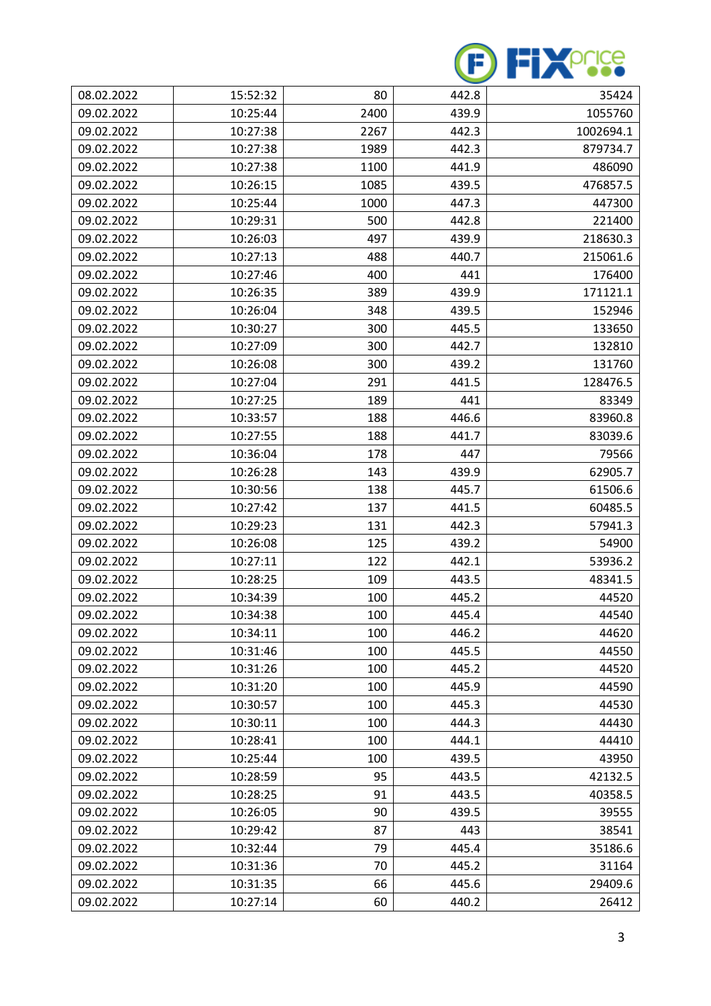

| 08.02.2022 | 15:52:32 | 80   | 442.8 | 35424     |
|------------|----------|------|-------|-----------|
| 09.02.2022 | 10:25:44 | 2400 | 439.9 | 1055760   |
| 09.02.2022 | 10:27:38 | 2267 | 442.3 | 1002694.1 |
| 09.02.2022 | 10:27:38 | 1989 | 442.3 | 879734.7  |
| 09.02.2022 | 10:27:38 | 1100 | 441.9 | 486090    |
| 09.02.2022 | 10:26:15 | 1085 | 439.5 | 476857.5  |
| 09.02.2022 | 10:25:44 | 1000 | 447.3 | 447300    |
| 09.02.2022 | 10:29:31 | 500  | 442.8 | 221400    |
| 09.02.2022 | 10:26:03 | 497  | 439.9 | 218630.3  |
| 09.02.2022 | 10:27:13 | 488  | 440.7 | 215061.6  |
| 09.02.2022 | 10:27:46 | 400  | 441   | 176400    |
| 09.02.2022 | 10:26:35 | 389  | 439.9 | 171121.1  |
| 09.02.2022 | 10:26:04 | 348  | 439.5 | 152946    |
| 09.02.2022 | 10:30:27 | 300  | 445.5 | 133650    |
| 09.02.2022 | 10:27:09 | 300  | 442.7 | 132810    |
| 09.02.2022 | 10:26:08 | 300  | 439.2 | 131760    |
| 09.02.2022 | 10:27:04 | 291  | 441.5 | 128476.5  |
| 09.02.2022 | 10:27:25 | 189  | 441   | 83349     |
| 09.02.2022 | 10:33:57 | 188  | 446.6 | 83960.8   |
| 09.02.2022 | 10:27:55 | 188  | 441.7 | 83039.6   |
| 09.02.2022 | 10:36:04 | 178  | 447   | 79566     |
| 09.02.2022 | 10:26:28 | 143  | 439.9 | 62905.7   |
| 09.02.2022 | 10:30:56 | 138  | 445.7 | 61506.6   |
| 09.02.2022 | 10:27:42 | 137  | 441.5 | 60485.5   |
| 09.02.2022 | 10:29:23 | 131  | 442.3 | 57941.3   |
| 09.02.2022 | 10:26:08 | 125  | 439.2 | 54900     |
| 09.02.2022 | 10:27:11 | 122  | 442.1 | 53936.2   |
| 09.02.2022 | 10:28:25 | 109  | 443.5 | 48341.5   |
| 09.02.2022 | 10:34:39 | 100  | 445.2 | 44520     |
| 09.02.2022 | 10:34:38 | 100  | 445.4 | 44540     |
| 09.02.2022 | 10:34:11 | 100  | 446.2 | 44620     |
| 09.02.2022 | 10:31:46 | 100  | 445.5 | 44550     |
| 09.02.2022 | 10:31:26 | 100  | 445.2 | 44520     |
| 09.02.2022 | 10:31:20 | 100  | 445.9 | 44590     |
| 09.02.2022 | 10:30:57 | 100  | 445.3 | 44530     |
| 09.02.2022 | 10:30:11 | 100  | 444.3 | 44430     |
| 09.02.2022 | 10:28:41 | 100  | 444.1 | 44410     |
| 09.02.2022 | 10:25:44 | 100  | 439.5 | 43950     |
| 09.02.2022 | 10:28:59 | 95   | 443.5 | 42132.5   |
| 09.02.2022 | 10:28:25 | 91   | 443.5 | 40358.5   |
| 09.02.2022 | 10:26:05 | 90   | 439.5 | 39555     |
| 09.02.2022 | 10:29:42 | 87   | 443   | 38541     |
| 09.02.2022 | 10:32:44 | 79   | 445.4 | 35186.6   |
| 09.02.2022 | 10:31:36 | 70   | 445.2 | 31164     |
| 09.02.2022 | 10:31:35 | 66   | 445.6 | 29409.6   |
| 09.02.2022 | 10:27:14 | 60   | 440.2 | 26412     |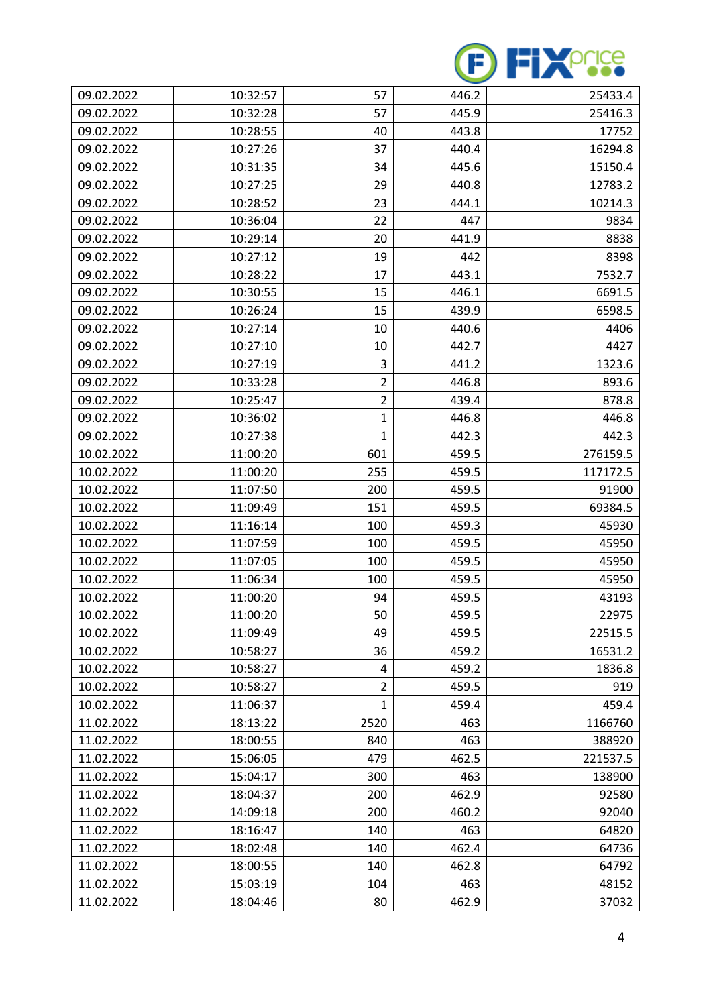

| 09.02.2022 | 10:32:57 | 57             | 446.2 | 25433.4  |
|------------|----------|----------------|-------|----------|
| 09.02.2022 | 10:32:28 | 57             | 445.9 | 25416.3  |
| 09.02.2022 | 10:28:55 | 40             | 443.8 | 17752    |
| 09.02.2022 | 10:27:26 | 37             | 440.4 | 16294.8  |
| 09.02.2022 | 10:31:35 | 34             | 445.6 | 15150.4  |
| 09.02.2022 | 10:27:25 | 29             | 440.8 | 12783.2  |
| 09.02.2022 | 10:28:52 | 23             | 444.1 | 10214.3  |
| 09.02.2022 | 10:36:04 | 22             | 447   | 9834     |
| 09.02.2022 | 10:29:14 | 20             | 441.9 | 8838     |
| 09.02.2022 | 10:27:12 | 19             | 442   | 8398     |
| 09.02.2022 | 10:28:22 | 17             | 443.1 | 7532.7   |
| 09.02.2022 | 10:30:55 | 15             | 446.1 | 6691.5   |
| 09.02.2022 | 10:26:24 | 15             | 439.9 | 6598.5   |
| 09.02.2022 | 10:27:14 | 10             | 440.6 | 4406     |
| 09.02.2022 | 10:27:10 | 10             | 442.7 | 4427     |
| 09.02.2022 | 10:27:19 | 3              | 441.2 | 1323.6   |
| 09.02.2022 | 10:33:28 | $\overline{2}$ | 446.8 | 893.6    |
| 09.02.2022 | 10:25:47 | $\overline{2}$ | 439.4 | 878.8    |
| 09.02.2022 | 10:36:02 | 1              | 446.8 | 446.8    |
| 09.02.2022 | 10:27:38 | 1              | 442.3 | 442.3    |
| 10.02.2022 | 11:00:20 | 601            | 459.5 | 276159.5 |
| 10.02.2022 | 11:00:20 | 255            | 459.5 | 117172.5 |
| 10.02.2022 | 11:07:50 | 200            | 459.5 | 91900    |
| 10.02.2022 | 11:09:49 | 151            | 459.5 | 69384.5  |
| 10.02.2022 | 11:16:14 | 100            | 459.3 | 45930    |
| 10.02.2022 | 11:07:59 | 100            | 459.5 | 45950    |
| 10.02.2022 | 11:07:05 | 100            | 459.5 | 45950    |
| 10.02.2022 | 11:06:34 | 100            | 459.5 | 45950    |
| 10.02.2022 | 11:00:20 | 94             | 459.5 | 43193    |
| 10.02.2022 | 11:00:20 | 50             | 459.5 | 22975    |
| 10.02.2022 | 11:09:49 | 49             | 459.5 | 22515.5  |
| 10.02.2022 | 10:58:27 | 36             | 459.2 | 16531.2  |
| 10.02.2022 | 10:58:27 | 4              | 459.2 | 1836.8   |
| 10.02.2022 | 10:58:27 | $\overline{2}$ | 459.5 | 919      |
| 10.02.2022 | 11:06:37 | 1              | 459.4 | 459.4    |
| 11.02.2022 | 18:13:22 | 2520           | 463   | 1166760  |
| 11.02.2022 | 18:00:55 | 840            | 463   | 388920   |
| 11.02.2022 | 15:06:05 | 479            | 462.5 | 221537.5 |
| 11.02.2022 | 15:04:17 | 300            | 463   | 138900   |
| 11.02.2022 | 18:04:37 | 200            | 462.9 | 92580    |
| 11.02.2022 | 14:09:18 | 200            | 460.2 | 92040    |
| 11.02.2022 | 18:16:47 | 140            | 463   | 64820    |
| 11.02.2022 | 18:02:48 | 140            | 462.4 | 64736    |
| 11.02.2022 | 18:00:55 | 140            | 462.8 | 64792    |
| 11.02.2022 | 15:03:19 | 104            | 463   | 48152    |
| 11.02.2022 | 18:04:46 | 80             | 462.9 | 37032    |